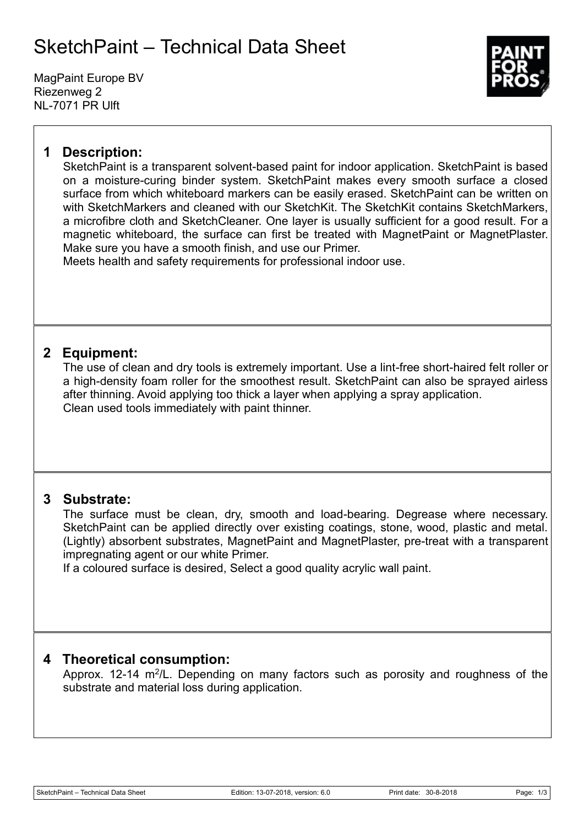# SketchPaint – Technical Data Sheet

MagPaint Europe BV Riezenweg 2 NL-7071 PR Ulft



# **1 Description:**

SketchPaint is a transparent solvent-based paint for indoor application. SketchPaint is based on a moisture-curing binder system. SketchPaint makes every smooth surface a closed surface from which whiteboard markers can be easily erased. SketchPaint can be written on with SketchMarkers and cleaned with our SketchKit. The SketchKit contains SketchMarkers, a microfibre cloth and SketchCleaner. One layer is usually sufficient for a good result. For a magnetic whiteboard, the surface can first be treated with MagnetPaint or MagnetPlaster. Make sure you have a smooth finish, and use our Primer.

Meets health and safety requirements for professional indoor use.

# **2 Equipment:**

The use of clean and dry tools is extremely important. Use a lint-free short-haired felt roller or a high-density foam roller for the smoothest result. SketchPaint can also be sprayed airless after thinning. Avoid applying too thick a layer when applying a spray application. Clean used tools immediately with paint thinner.

## **3 Substrate:**

The surface must be clean, dry, smooth and load-bearing. Degrease where necessary. SketchPaint can be applied directly over existing coatings, stone, wood, plastic and metal. (Lightly) absorbent substrates, MagnetPaint and MagnetPlaster, pre-treat with a transparent impregnating agent or our white Primer.

If a coloured surface is desired, Select a good quality acrylic wall paint.

## **4 Theoretical consumption:**

Approx. 12-14 m<sup>2</sup>/L. Depending on many factors such as porosity and roughness of the substrate and material loss during application.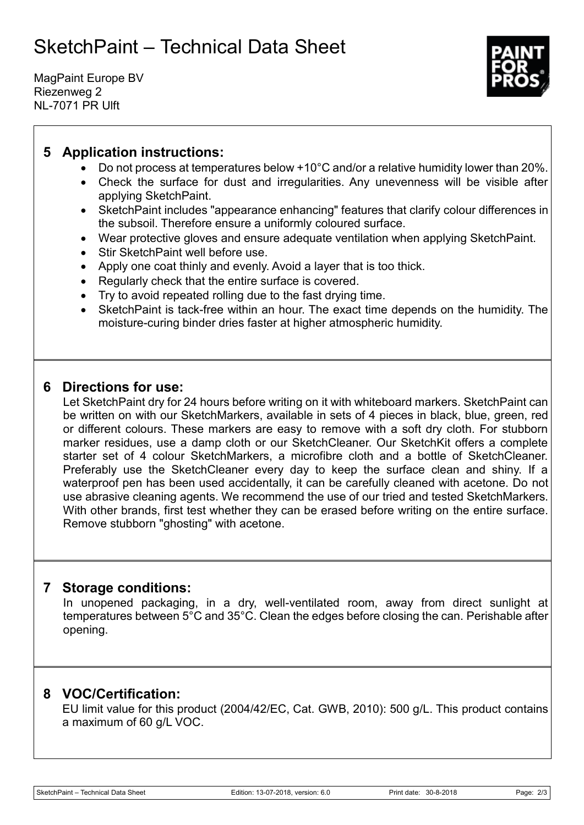# SketchPaint – Technical Data Sheet

MagPaint Europe BV Riezenweg 2 NL-7071 PR Ulft



# **5 Application instructions:**

- Do not process at temperatures below +10°C and/or a relative humidity lower than 20%.
- Check the surface for dust and irregularities. Any unevenness will be visible after applying SketchPaint.
- SketchPaint includes "appearance enhancing" features that clarify colour differences in the subsoil. Therefore ensure a uniformly coloured surface.
- Wear protective gloves and ensure adequate ventilation when applying SketchPaint.
- Stir SketchPaint well before use.
- Apply one coat thinly and evenly. Avoid a layer that is too thick.
- Regularly check that the entire surface is covered.
- Try to avoid repeated rolling due to the fast drying time.
- SketchPaint is tack-free within an hour. The exact time depends on the humidity. The moisture-curing binder dries faster at higher atmospheric humidity.

### **6 Directions for use:**

Let SketchPaint dry for 24 hours before writing on it with whiteboard markers. SketchPaint can be written on with our SketchMarkers, available in sets of 4 pieces in black, blue, green, red or different colours. These markers are easy to remove with a soft dry cloth. For stubborn marker residues, use a damp cloth or our SketchCleaner. Our SketchKit offers a complete starter set of 4 colour SketchMarkers, a microfibre cloth and a bottle of SketchCleaner. Preferably use the SketchCleaner every day to keep the surface clean and shiny. If a waterproof pen has been used accidentally, it can be carefully cleaned with acetone. Do not use abrasive cleaning agents. We recommend the use of our tried and tested SketchMarkers. With other brands, first test whether they can be erased before writing on the entire surface. Remove stubborn "ghosting" with acetone.

#### **7 Storage conditions:**

In unopened packaging, in a dry, well-ventilated room, away from direct sunlight at temperatures between 5°C and 35°C. Clean the edges before closing the can. Perishable after opening.

## **8 VOC/Certification:**

EU limit value for this product (2004/42/EC, Cat. GWB, 2010): 500 g/L. This product contains a maximum of 60 g/L VOC.